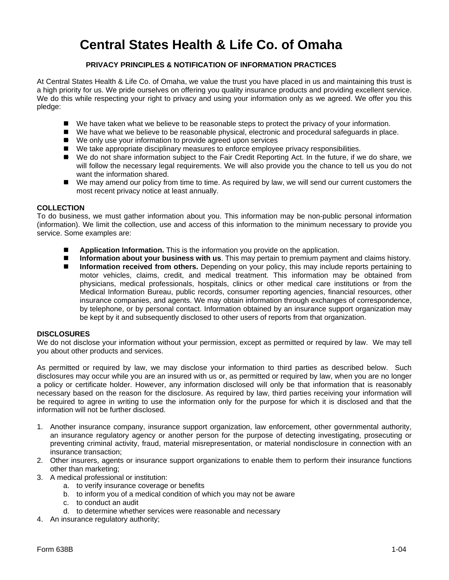# **Central States Health & Life Co. of Omaha**

## **PRIVACY PRINCIPLES & NOTIFICATION OF INFORMATION PRACTICES**

At Central States Health & Life Co. of Omaha, we value the trust you have placed in us and maintaining this trust is a high priority for us. We pride ourselves on offering you quality insurance products and providing excellent service. We do this while respecting your right to privacy and using your information only as we agreed. We offer you this pledge:

- We have taken what we believe to be reasonable steps to protect the privacy of your information.
- We have what we believe to be reasonable physical, electronic and procedural safeguards in place.
- We only use your information to provide agreed upon services
- We take appropriate disciplinary measures to enforce employee privacy responsibilities.
- We do not share information subject to the Fair Credit Reporting Act. In the future, if we do share, we will follow the necessary legal requirements. We will also provide you the chance to tell us you do not want the information shared.
- We may amend our policy from time to time. As required by law, we will send our current customers the most recent privacy notice at least annually.

#### **COLLECTION**

To do business, we must gather information about you. This information may be non-public personal information (information). We limit the collection, use and access of this information to the minimum necessary to provide you service. Some examples are:

- **Application Information.** This is the information you provide on the application.
- **Information about your business with us**. This may pertain to premium payment and claims history.
- **Information received from others.** Depending on your policy, this may include reports pertaining to motor vehicles, claims, credit, and medical treatment. This information may be obtained from physicians, medical professionals, hospitals, clinics or other medical care institutions or from the Medical Information Bureau, public records, consumer reporting agencies, financial resources, other insurance companies, and agents. We may obtain information through exchanges of correspondence, by telephone, or by personal contact. Information obtained by an insurance support organization may be kept by it and subsequently disclosed to other users of reports from that organization.

#### **DISCLOSURES**

We do not disclose your information without your permission, except as permitted or required by law. We may tell you about other products and services.

As permitted or required by law, we may disclose your information to third parties as described below. Such disclosures may occur while you are an insured with us or, as permitted or required by law, when you are no longer a policy or certificate holder. However, any information disclosed will only be that information that is reasonably necessary based on the reason for the disclosure. As required by law, third parties receiving your information will be required to agree in writing to use the information only for the purpose for which it is disclosed and that the information will not be further disclosed.

- 1. Another insurance company, insurance support organization, law enforcement, other governmental authority, an insurance regulatory agency or another person for the purpose of detecting investigating, prosecuting or preventing criminal activity, fraud, material misrepresentation, or material nondisclosure in connection with an insurance transaction;
- 2. Other insurers, agents or insurance support organizations to enable them to perform their insurance functions other than marketing;
- 3. A medical professional or institution:
	- a. to verify insurance coverage or benefits
	- b. to inform you of a medical condition of which you may not be aware
	- c. to conduct an audit
	- d. to determine whether services were reasonable and necessary
- 4. An insurance regulatory authority;